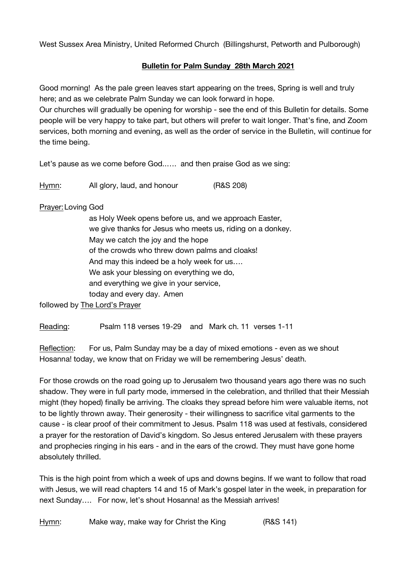West Sussex Area Ministry, United Reformed Church (Billingshurst, Petworth and Pulborough)

## **Bulletin for Palm Sunday 28th March 2021**

Good morning! As the pale green leaves start appearing on the trees, Spring is well and truly here; and as we celebrate Palm Sunday we can look forward in hope.

Our churches will gradually be opening for worship - see the end of this Bulletin for details. Some people will be very happy to take part, but others will prefer to wait longer. That's fine, and Zoom services, both morning and evening, as well as the order of service in the Bulletin, will continue for the time being.

Let's pause as we come before God..…. and then praise God as we sing:

Hymn: All glory, laud, and honour (R&S 208)

## Prayer:Loving God

as Holy Week opens before us, and we approach Easter, we give thanks for Jesus who meets us, riding on a donkey. May we catch the joy and the hope of the crowds who threw down palms and cloaks! And may this indeed be a holy week for us…. We ask your blessing on everything we do, and everything we give in your service, today and every day. Amen

followed by The Lord's Prayer

Reading: Psalm 118 verses 19-29 and Mark ch. 11 verses 1-11

Reflection: For us, Palm Sunday may be a day of mixed emotions - even as we shout Hosanna! today, we know that on Friday we will be remembering Jesus' death.

For those crowds on the road going up to Jerusalem two thousand years ago there was no such shadow. They were in full party mode, immersed in the celebration, and thrilled that their Messiah might (they hoped) finally be arriving. The cloaks they spread before him were valuable items, not to be lightly thrown away. Their generosity - their willingness to sacrifice vital garments to the cause - is clear proof of their commitment to Jesus. Psalm 118 was used at festivals, considered a prayer for the restoration of David's kingdom. So Jesus entered Jerusalem with these prayers and prophecies ringing in his ears - and in the ears of the crowd. They must have gone home absolutely thrilled.

This is the high point from which a week of ups and downs begins. If we want to follow that road with Jesus, we will read chapters 14 and 15 of Mark's gospel later in the week, in preparation for next Sunday…. For now, let's shout Hosanna! as the Messiah arrives!

Hymn: Make way, make way for Christ the King (R&S 141)